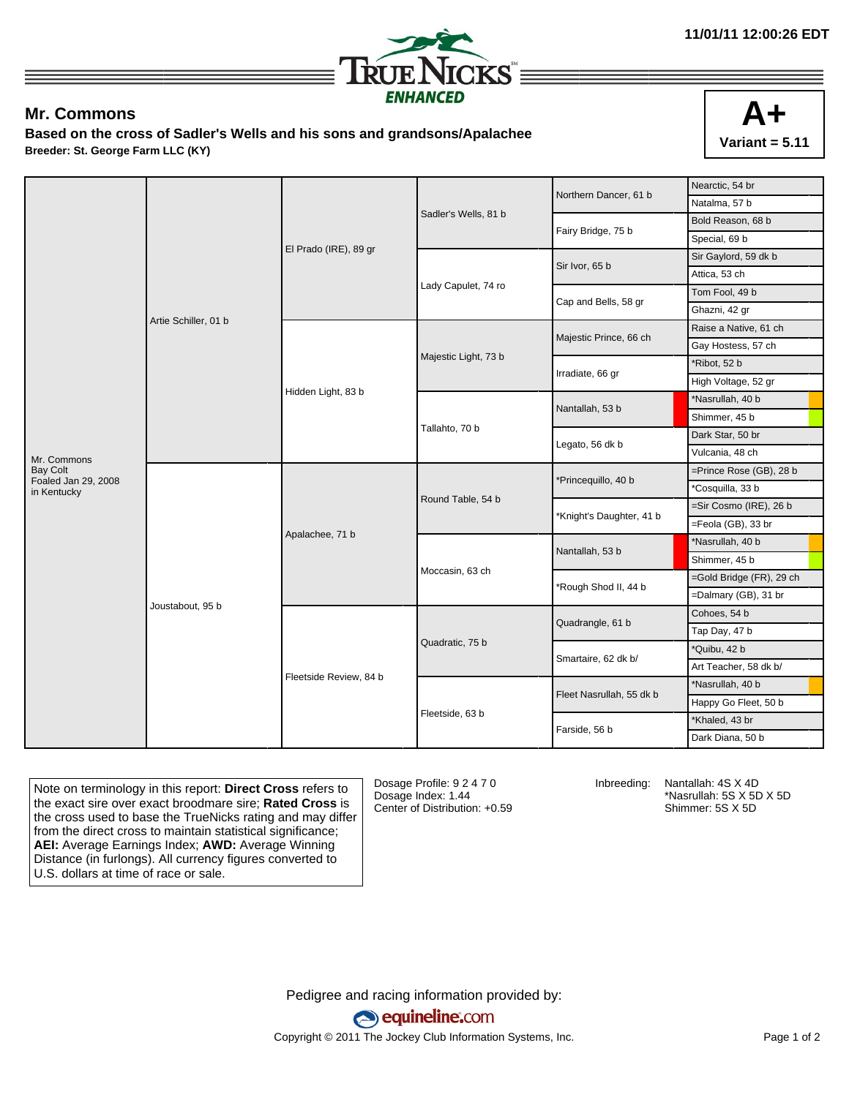

## **Mr. Commons**

**Based on the cross of Sadler's Wells and his sons and grandsons/Apalachee Breeder: St. George Farm LLC (KY)**



|                                    |                      |                        |                      | Northern Dancer, 61 b    | Nearctic, 54 br          |
|------------------------------------|----------------------|------------------------|----------------------|--------------------------|--------------------------|
|                                    | Artie Schiller, 01 b | El Prado (IRE), 89 gr  |                      |                          | Natalma, 57 b            |
|                                    |                      |                        | Sadler's Wells, 81 b | Fairy Bridge, 75 b       | Bold Reason, 68 b        |
|                                    |                      |                        |                      |                          | Special, 69 b            |
|                                    |                      |                        | Lady Capulet, 74 ro  | Sir Ivor, 65 b           | Sir Gaylord, 59 dk b     |
|                                    |                      |                        |                      |                          | Attica, 53 ch            |
|                                    |                      |                        |                      | Cap and Bells, 58 gr     | Tom Fool, 49 b           |
|                                    |                      |                        |                      |                          | Ghazni, 42 gr            |
|                                    |                      | Hidden Light, 83 b     | Majestic Light, 73 b | Majestic Prince, 66 ch   | Raise a Native, 61 ch    |
|                                    |                      |                        |                      |                          | Gay Hostess, 57 ch       |
|                                    |                      |                        |                      | Irradiate, 66 gr         | *Ribot, 52 b             |
|                                    |                      |                        |                      |                          | High Voltage, 52 gr      |
|                                    |                      |                        |                      | Nantallah, 53 b          | *Nasrullah, 40 b         |
|                                    |                      |                        |                      |                          | Shimmer, 45 b            |
|                                    |                      |                        | Tallahto, 70 b       | Legato, 56 dk b          | Dark Star, 50 br         |
| Mr. Commons                        |                      |                        |                      |                          | Vulcania, 48 ch          |
| <b>Bay Colt</b>                    | Joustabout, 95 b     | Apalachee, 71 b        | Round Table, 54 b    | *Princequillo, 40 b      | =Prince Rose (GB), 28 b  |
| Foaled Jan 29, 2008<br>in Kentucky |                      |                        |                      |                          | *Cosquilla, 33 b         |
|                                    |                      |                        |                      | *Knight's Daughter, 41 b | =Sir Cosmo (IRE), 26 b   |
|                                    |                      |                        |                      |                          | =Feola (GB), 33 br       |
|                                    |                      |                        | Moccasin, 63 ch      | Nantallah, 53 b          | *Nasrullah, 40 b         |
|                                    |                      |                        |                      |                          | Shimmer, 45 b            |
|                                    |                      |                        |                      | *Rough Shod II, 44 b     | =Gold Bridge (FR), 29 ch |
|                                    |                      |                        |                      |                          | =Dalmary (GB), 31 br     |
|                                    |                      | Fleetside Review, 84 b | Quadratic, 75 b      | Quadrangle, 61 b         | Cohoes, 54 b             |
|                                    |                      |                        |                      |                          | Tap Day, 47 b            |
|                                    |                      |                        |                      | Smartaire, 62 dk b/      | *Quibu, 42 b             |
|                                    |                      |                        |                      |                          | Art Teacher, 58 dk b/    |
|                                    |                      |                        | Fleetside, 63 b      |                          | *Nasrullah, 40 b         |
|                                    |                      |                        |                      | Fleet Nasrullah, 55 dk b | Happy Go Fleet, 50 b     |
|                                    |                      |                        |                      |                          | *Khaled, 43 br           |
|                                    |                      |                        |                      | Farside, 56 b            | Dark Diana, 50 b         |

Note on terminology in this report: **Direct Cross** refers to the exact sire over exact broodmare sire; **Rated Cross** is the cross used to base the TrueNicks rating and may differ from the direct cross to maintain statistical significance; **AEI:** Average Earnings Index; **AWD:** Average Winning Distance (in furlongs). All currency figures converted to U.S. dollars at time of race or sale.

Dosage Profile: 9 2 4 7 0 Dosage Index: 1.44 Center of Distribution: +0.59

Inbreeding: Nantallah: 4S X 4D \*Nasrullah: 5S X 5D X 5D Shimmer: 5S X 5D

Pedigree and racing information provided by: equineline.com Copyright © 2011 The Jockey Club Information Systems, Inc. example 2012 Page 1 of 2